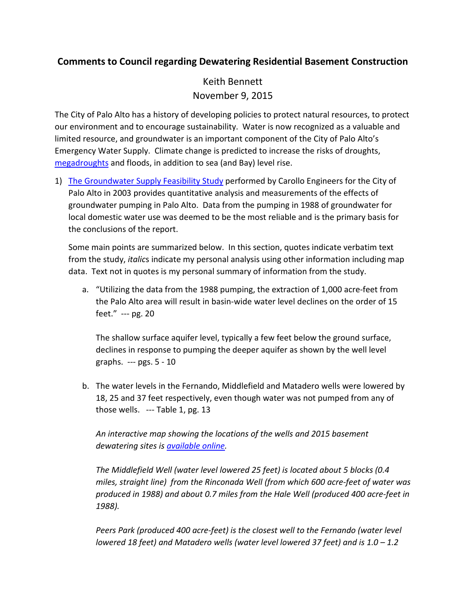## **Comments to Council regarding Dewatering Residential Basement Construction**

Keith Bennett November 9, 2015

The City of Palo Alto has a history of developing policies to protect natural resources, to protect our environment and to encourage sustainability. Water is now recognized as a valuable and limited resource, and groundwater is an important component of the City of Palo Alto's Emergency Water Supply. Climate change is predicted to increase the risks of droughts, [megadroughts](https://www.washingtonpost.com/national/health-science/todays-drought-in-the-west-is-nothing-compared-to-what-may-be-coming/2015/02/12/0041646a-b2d9-11e4-854b-a38d13486ba1_story.html) and floods, in addition to sea (and Bay) level rise.

1) [The Groundwater Supply Feasibility Study](http://www.cityofpaloalto.org/cityagenda/publish/uac-meetings/1930.pdf) performed by Carollo Engineers for the City of Palo Alto in 2003 provides quantitative analysis and measurements of the effects of groundwater pumping in Palo Alto. Data from the pumping in 1988 of groundwater for local domestic water use was deemed to be the most reliable and is the primary basis for the conclusions of the report.

Some main points are summarized below. In this section, quotes indicate verbatim text from the study, *italic*s indicate my personal analysis using other information including map data. Text not in quotes is my personal summary of information from the study.

a. "Utilizing the data from the 1988 pumping, the extraction of 1,000 acre-feet from the Palo Alto area will result in basin-wide water level declines on the order of 15 feet." --- pg. 20

The shallow surface aquifer level, typically a few feet below the ground surface, declines in response to pumping the deeper aquifer as shown by the well level graphs. --- pgs. 5 - 10

b. The water levels in the Fernando, Middlefield and Matadero wells were lowered by 18, 25 and 37 feet respectively, even though water was not pumped from any of those wells. --- Table 1, pg. 13

*An interactive map showing the locations of the wells and 2015 basement dewatering sites is [available online.](https://www.google.com/maps/d/edit?app=mp&hl=en_US&mid=zW7thpaYaYZI.kXmqQlQLK9iM)*

*The Middlefield Well (water level lowered 25 feet) is located about 5 blocks (0.4 miles, straight line) from the Rinconada Well (from which 600 acre-feet of water was produced in 1988) and about 0.7 miles from the Hale Well (produced 400 acre-feet in 1988).*

*Peers Park (produced 400 acre-feet) is the closest well to the Fernando (water level lowered 18 feet) and Matadero wells (water level lowered 37 feet) and is 1.0 – 1.2*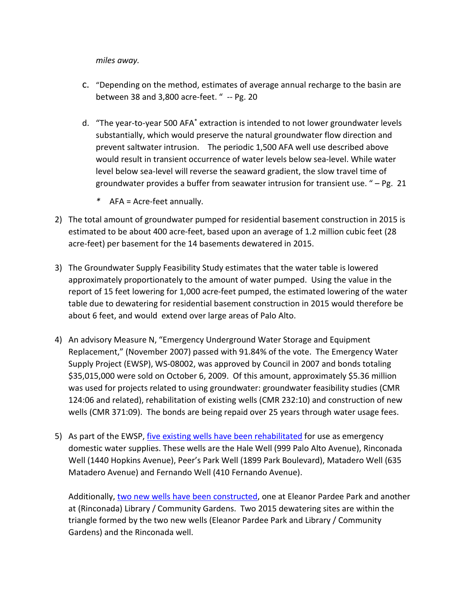*miles away.*

- c. "Depending on the method, estimates of average annual recharge to the basin are between 38 and 3,800 acre-feet. " -- Pg. 20
- d. "The year-to-year 500 AFA\* extraction is intended to not lower groundwater levels substantially, which would preserve the natural groundwater flow direction and prevent saltwater intrusion. The periodic 1,500 AFA well use described above would result in transient occurrence of water levels below sea-level. While water level below sea-level will reverse the seaward gradient, the slow travel time of groundwater provides a buffer from seawater intrusion for transient use. " – Pg. 21
	- *\** AFA = Acre-feet annually.
- 2) The total amount of groundwater pumped for residential basement construction in 2015 is estimated to be about 400 acre-feet, based upon an average of 1.2 million cubic feet (28 acre-feet) per basement for the 14 basements dewatered in 2015.
- 3) The Groundwater Supply Feasibility Study estimates that the water table is lowered approximately proportionately to the amount of water pumped. Using the value in the report of 15 feet lowering for 1,000 acre-feet pumped, the estimated lowering of the water table due to dewatering for residential basement construction in 2015 would therefore be about 6 feet, and would extend over large areas of Palo Alto.
- 4) An advisory Measure N, "Emergency Underground Water Storage and Equipment Replacement," (November 2007) passed with 91.84% of the vote. The Emergency Water Supply Project (EWSP), WS-08002, was approved by Council in 2007 and bonds totaling \$35,015,000 were sold on October 6, 2009. Of this amount, approximately \$5.36 million was used for projects related to using groundwater: groundwater feasibility studies (CMR 124:06 and related), rehabilitation of existing wells (CMR 232:10) and construction of new wells (CMR 371:09). The bonds are being repaid over 25 years through water usage fees.
- 5) As part of the EWSP, [five existing wells have been rehabilitated](http://www.cityofpaloalto.org/gov/depts/utl/eng/water/wells/faq/rehabilitation.asp) for use as emergency domestic water supplies. These wells are the Hale Well (999 Palo Alto Avenue), Rinconada Well (1440 Hopkins Avenue), Peer's Park Well (1899 Park Boulevard), Matadero Well (635 Matadero Avenue) and Fernando Well (410 Fernando Avenue).

Additionally, [two new wells have been constructed,](http://www.cityofpaloalto.org/gov/depts/utl/eng/water/wells/eleanor.asp) one at Eleanor Pardee Park and another at (Rinconada) Library / Community Gardens. Two 2015 dewatering sites are within the triangle formed by the two new wells (Eleanor Pardee Park and Library / Community Gardens) and the Rinconada well.